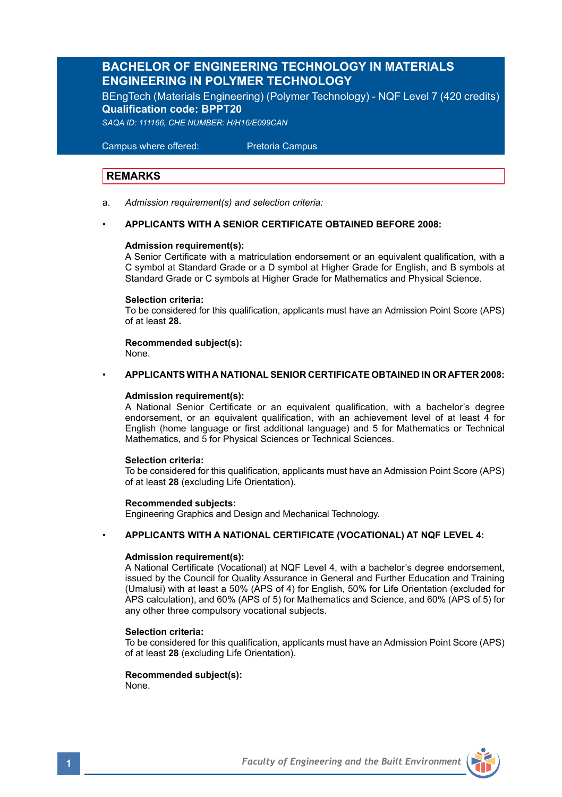# **BACHELOR OF ENGINEERING TECHNOLOGY IN MATERIALS ENGINEERING IN POLYMER TECHNOLOGY**

BEngTech (Materials Engineering) (Polymer Technology) - NQF Level 7 (420 credits) **Qualification code: BPPT20**

*SAQA ID: 111166, CHE NUMBER: H/H16/E099CAN* 

 Campus where offered: Pretoria Campus

## **REMARKS**

a. *Admission requirement(s) and selection criteria:*

### • **APPLICANTS WITH A SENIOR CERTIFICATE OBTAINED BEFORE 2008:**

### **Admission requirement(s):**

A Senior Certificate with a matriculation endorsement or an equivalent qualification, with a C symbol at Standard Grade or a D symbol at Higher Grade for English, and B symbols at Standard Grade or C symbols at Higher Grade for Mathematics and Physical Science.

### **Selection criteria:**

To be considered for this qualification, applicants must have an Admission Point Score (APS) of at least **28.**

**Recommended subject(s):** None.

### • **APPLICANTS WITH A NATIONAL SENIOR CERTIFICATE OBTAINED IN OR AFTER 2008:**

#### **Admission requirement(s):**

A National Senior Certificate or an equivalent qualification, with a bachelor's degree endorsement, or an equivalent qualification, with an achievement level of at least 4 for English (home language or first additional language) and 5 for Mathematics or Technical Mathematics, and 5 for Physical Sciences or Technical Sciences.

### **Selection criteria:**

To be considered for this qualification, applicants must have an Admission Point Score (APS) of at least **28** (excluding Life Orientation).

### **Recommended subjects:**

Engineering Graphics and Design and Mechanical Technology.

### • **APPLICANTS WITH A NATIONAL CERTIFICATE (VOCATIONAL) AT NQF LEVEL 4:**

#### **Admission requirement(s):**

A National Certificate (Vocational) at NQF Level 4, with a bachelor's degree endorsement, issued by the Council for Quality Assurance in General and Further Education and Training (Umalusi) with at least a 50% (APS of 4) for English, 50% for Life Orientation (excluded for APS calculation), and 60% (APS of 5) for Mathematics and Science, and 60% (APS of 5) for any other three compulsory vocational subjects.

### **Selection criteria:**

To be considered for this qualification, applicants must have an Admission Point Score (APS) of at least **28** (excluding Life Orientation).

#### **Recommended subject(s):** None.

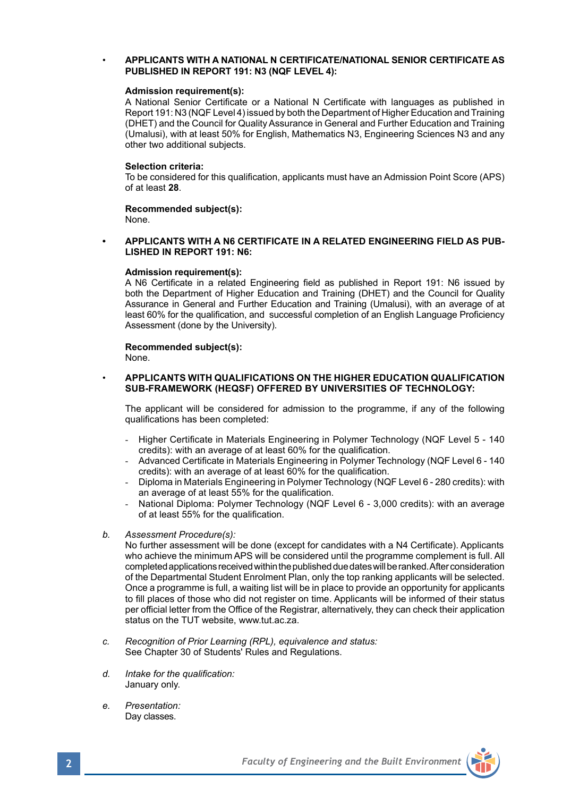### • **APPLICANTS WITH A NATIONAL N CERTIFICATE/NATIONAL SENIOR CERTIFICATE AS PUBLISHED IN REPORT 191: N3 (NQF LEVEL 4):**

### **Admission requirement(s):**

A National Senior Certificate or a National N Certificate with languages as published in Report 191: N3 (NQF Level 4) issued by both the Department of Higher Education and Training (DHET) and the Council for Quality Assurance in General and Further Education and Training (Umalusi), with at least 50% for English, Mathematics N3, Engineering Sciences N3 and any other two additional subjects.

#### **Selection criteria:**

To be considered for this qualification, applicants must have an Admission Point Score (APS) of at least **28**.

**Recommended subject(s):** None.

#### **• APPLICANTS WITH A N6 CERTIFICATE IN A RELATED ENGINEERING FIELD AS PUB-LISHED IN REPORT 191: N6:**

### **Admission requirement(s):**

A N6 Certificate in a related Engineering field as published in Report 191: N6 issued by both the Department of Higher Education and Training (DHET) and the Council for Quality Assurance in General and Further Education and Training (Umalusi), with an average of at least 60% for the qualification, and successful completion of an English Language Proficiency Assessment (done by the University).

### **Recommended subject(s):**

None.

### • **APPLICANTS WITH QUALIFICATIONS ON THE HIGHER EDUCATION QUALIFICATION SUB-FRAMEWORK (HEQSF) OFFERED BY UNIVERSITIES OF TECHNOLOGY:**

The applicant will be considered for admission to the programme, if any of the following qualifications has been completed:

- Higher Certificate in Materials Engineering in Polymer Technology (NQF Level 5 140 credits): with an average of at least 60% for the qualification.
- Advanced Certificate in Materials Engineering in Polymer Technology (NQF Level 6 140 credits): with an average of at least 60% for the qualification.
- Diploma in Materials Engineering in Polymer Technology (NQF Level 6 280 credits): with an average of at least 55% for the qualification.
- National Diploma: Polymer Technology (NQF Level 6 3,000 credits): with an average of at least 55% for the qualification.
- *b. Assessment Procedure(s):*

No further assessment will be done (except for candidates with a N4 Certificate). Applicants who achieve the minimum APS will be considered until the programme complement is full. All completed applications received within the published due dates will be ranked. After consideration of the Departmental Student Enrolment Plan, only the top ranking applicants will be selected. Once a programme is full, a waiting list will be in place to provide an opportunity for applicants to fill places of those who did not register on time. Applicants will be informed of their status per official letter from the Office of the Registrar, alternatively, they can check their application status on the TUT website, www.tut.ac.za.

- *c. Recognition of Prior Learning (RPL), equivalence and status:* See Chapter 30 of Students' Rules and Regulations.
- *d. Intake for the qualification:* January only.
- *e. Presentation:* Day classes.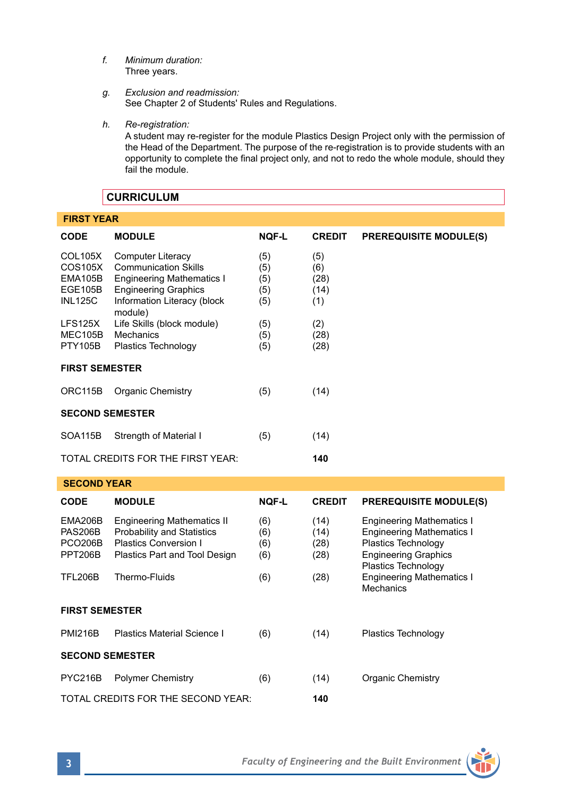- *f. Minimum duration:* Three years.
- *g. Exclusion and readmission:* See Chapter 2 of Students' Rules and Regulations.
- *h. Re-registration:*

A student may re-register for the module Plastics Design Project only with the permission of the Head of the Department. The purpose of the re-registration is to provide students with an opportunity to complete the final project only, and not to redo the whole module, should they fail the module.

# **CURRICULUM**

| <b>FIRST YEAR</b>                                                 |                                                                                                                                                                      |                                 |                                   |                                                                                                                                                   |  |  |  |  |
|-------------------------------------------------------------------|----------------------------------------------------------------------------------------------------------------------------------------------------------------------|---------------------------------|-----------------------------------|---------------------------------------------------------------------------------------------------------------------------------------------------|--|--|--|--|
| <b>CODE</b>                                                       | <b>MODULE</b>                                                                                                                                                        | <b>NOF-L</b>                    | <b>CREDIT</b>                     | <b>PREREQUISITE MODULE(S)</b>                                                                                                                     |  |  |  |  |
| COL105X<br>COS105X<br>EMA105B<br><b>EGE105B</b><br><b>INL125C</b> | <b>Computer Literacy</b><br><b>Communication Skills</b><br><b>Engineering Mathematics I</b><br><b>Engineering Graphics</b><br>Information Literacy (block<br>module) | (5)<br>(5)<br>(5)<br>(5)<br>(5) | (5)<br>(6)<br>(28)<br>(14)<br>(1) |                                                                                                                                                   |  |  |  |  |
| <b>LFS125X</b><br>MEC105B<br><b>PTY105B</b>                       | Life Skills (block module)<br>Mechanics<br>Plastics Technology                                                                                                       | (5)<br>(5)<br>(5)               | (2)<br>(28)<br>(28)               |                                                                                                                                                   |  |  |  |  |
| <b>FIRST SEMESTER</b>                                             |                                                                                                                                                                      |                                 |                                   |                                                                                                                                                   |  |  |  |  |
| ORC115B                                                           | <b>Organic Chemistry</b>                                                                                                                                             | (5)                             | (14)                              |                                                                                                                                                   |  |  |  |  |
| <b>SECOND SEMESTER</b>                                            |                                                                                                                                                                      |                                 |                                   |                                                                                                                                                   |  |  |  |  |
| SOA115B                                                           | Strength of Material I                                                                                                                                               | (5)                             | (14)                              |                                                                                                                                                   |  |  |  |  |
| TOTAL CREDITS FOR THE FIRST YEAR:                                 |                                                                                                                                                                      |                                 | 140                               |                                                                                                                                                   |  |  |  |  |
| <b>SECOND YEAR</b>                                                |                                                                                                                                                                      |                                 |                                   |                                                                                                                                                   |  |  |  |  |
| <b>CODE</b>                                                       | <b>MODULE</b>                                                                                                                                                        | <b>NOF-L</b>                    | <b>CREDIT</b>                     | <b>PREREQUISITE MODULE(S)</b>                                                                                                                     |  |  |  |  |
| EMA206B<br><b>PAS206B</b><br><b>PCO206B</b><br><b>PPT206B</b>     | <b>Engineering Mathematics II</b><br><b>Probability and Statistics</b><br>Plastics Conversion I<br>Plastics Part and Tool Design                                     | (6)<br>(6)<br>(6)<br>(6)        | (14)<br>(14)<br>(28)<br>(28)      | <b>Engineering Mathematics I</b><br><b>Engineering Mathematics I</b><br>Plastics Technology<br><b>Engineering Graphics</b><br>Plastics Technology |  |  |  |  |
| <b>TFL206B</b>                                                    | Thermo-Fluids                                                                                                                                                        | (6)                             | (28)                              | <b>Engineering Mathematics I</b><br>Mechanics                                                                                                     |  |  |  |  |
| <b>FIRST SEMESTER</b>                                             |                                                                                                                                                                      |                                 |                                   |                                                                                                                                                   |  |  |  |  |
| <b>PMI216B</b>                                                    | Plastics Material Science I                                                                                                                                          | (6)                             | (14)                              | Plastics Technology                                                                                                                               |  |  |  |  |
| <b>SECOND SEMESTER</b>                                            |                                                                                                                                                                      |                                 |                                   |                                                                                                                                                   |  |  |  |  |
| PYC216B                                                           | <b>Polymer Chemistry</b>                                                                                                                                             | (6)                             | (14)                              | <b>Organic Chemistry</b>                                                                                                                          |  |  |  |  |
|                                                                   | TOTAL CREDITS FOR THE SECOND YEAR:                                                                                                                                   | 140                             |                                   |                                                                                                                                                   |  |  |  |  |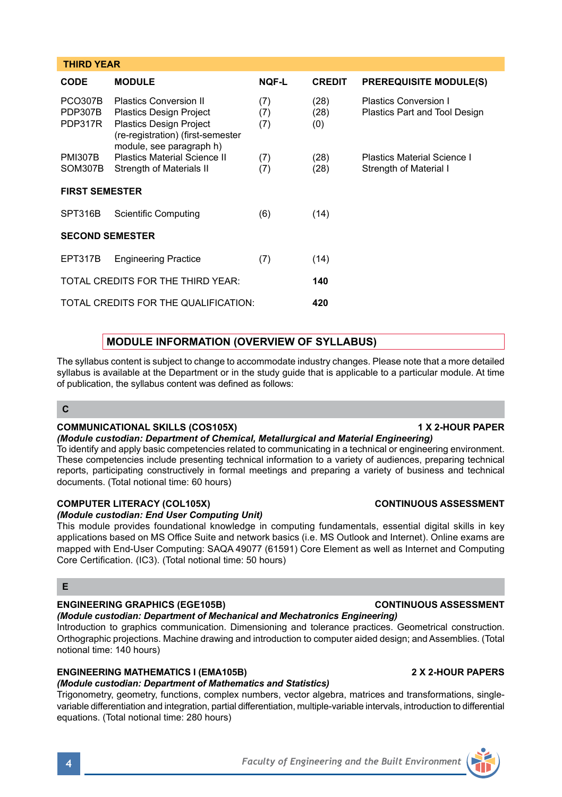| <b>CODE</b>                          | <b>MODULE</b>                                                                                                                                                      | <b>NQF-L</b>      | <b>CREDIT</b>       | <b>PREREQUISITE MODULE(S)</b>                          |  |  |  |
|--------------------------------------|--------------------------------------------------------------------------------------------------------------------------------------------------------------------|-------------------|---------------------|--------------------------------------------------------|--|--|--|
| <b>PCO307B</b><br>PDP307B<br>PDP317R | <b>Plastics Conversion II</b><br><b>Plastics Design Project</b><br><b>Plastics Design Project</b><br>(re-registration) (first-semester<br>module, see paragraph h) | (7)<br>(7)<br>(7) | (28)<br>(28)<br>(0) | Plastics Conversion I<br>Plastics Part and Tool Design |  |  |  |
| <b>PMI307B</b><br>SOM307B            | <b>Plastics Material Science II</b><br>Strength of Materials II                                                                                                    | (7)<br>(7)        | (28)<br>(28)        | Plastics Material Science I<br>Strength of Material I  |  |  |  |
| <b>FIRST SEMESTER</b>                |                                                                                                                                                                    |                   |                     |                                                        |  |  |  |
| SPT316B                              | Scientific Computing                                                                                                                                               | (6)               | (14)                |                                                        |  |  |  |
| <b>SECOND SEMESTER</b>               |                                                                                                                                                                    |                   |                     |                                                        |  |  |  |
| EPT317B                              | <b>Engineering Practice</b>                                                                                                                                        | (7)               | (14)                |                                                        |  |  |  |
|                                      | TOTAL CREDITS FOR THE THIRD YEAR:                                                                                                                                  | 140               |                     |                                                        |  |  |  |
|                                      | TOTAL CREDITS FOR THE OUALIFICATION:                                                                                                                               | 420               |                     |                                                        |  |  |  |

## **MODULE INFORMATION (OVERVIEW OF SYLLABUS)**

The syllabus content is subject to change to accommodate industry changes. Please note that a more detailed syllabus is available at the Department or in the study quide that is applicable to a particular module. At time of publication, the syllabus content was defined as follows:

## **C**

 **THIRD YEAR**

### **COMMUNICATIONAL SKILLS (COS105X)** 1 X 2-HOUR PAPER

### *(Module custodian: Department of Chemical, Metallurgical and Material Engineering)*

To identify and apply basic competencies related to communicating in a technical or engineering environment. These competencies include presenting technical information to a variety of audiences, preparing technical reports, participating constructively in formal meetings and preparing a variety of business and technical documents. (Total notional time: 60 hours)

### **COMPUTER LITERACY (COL105X) CONTINUOUS ASSESSMENT**

## *(Module custodian: End User Computing Unit)*

This module provides foundational knowledge in computing fundamentals, essential digital skills in key applications based on MS Office Suite and network basics (i.e. MS Outlook and Internet). Online exams are mapped with End-User Computing: SAQA 49077 (61591) Core Element as well as Internet and Computing Core Certification. (IC3). (Total notional time: 50 hours)

## **E**

### **ENGINEERING GRAPHICS (EGE105B) CONTINUOUS ASSESSMENT**

### *(Module custodian: Department of Mechanical and Mechatronics Engineering)*

Introduction to graphics communication. Dimensioning and tolerance practices. Geometrical construction. Orthographic projections. Machine drawing and introduction to computer aided design; and Assemblies. (Total notional time: 140 hours)

## **ENGINEERING MATHEMATICS I (EMA105B) 2 X 2-HOUR PAPERS**

## *(Module custodian: Department of Mathematics and Statistics)*

Trigonometry, geometry, functions, complex numbers, vector algebra, matrices and transformations, singlevariable differentiation and integration, partial differentiation, multiple-variable intervals, introduction to differential equations. (Total notional time: 280 hours)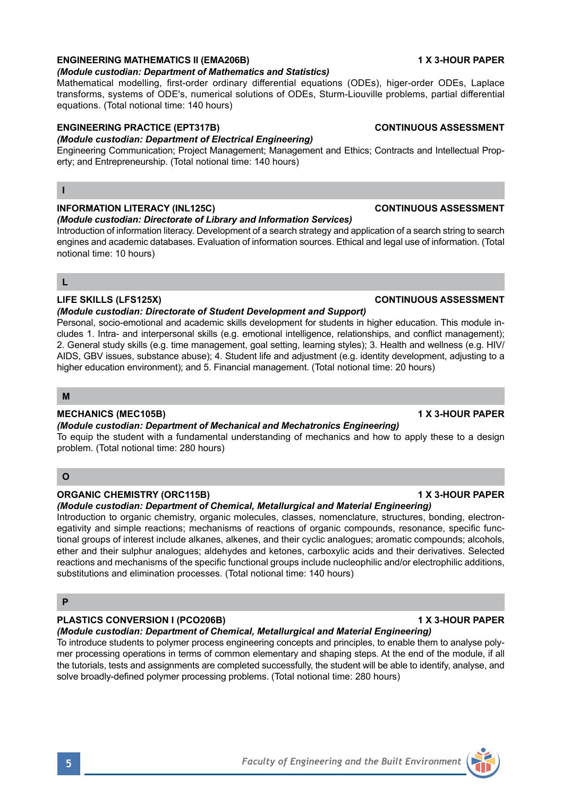# **ENGINEERING MATHEMATICS II (EMA206B) 1 X 3-HOUR PAPER**

## *(Module custodian: Department of Mathematics and Statistics)*

Mathematical modelling, first-order ordinary differential equations (ODEs), higer-order ODEs, Laplace transforms, systems of ODE's, numerical solutions of ODEs, Sturm-Liouville problems, partial differential equations. (Total notional time: 140 hours)

## **ENGINEERING PRACTICE (EPT317B) CONTINUOUS ASSESSMENT**

## *(Module custodian: Department of Electrical Engineering)*

Engineering Communication; Project Management; Management and Ethics; Contracts and Intellectual Property; and Entrepreneurship. (Total notional time: 140 hours)

# **I**

## **INFORMATION LITERACY (INL125C) CONTINUOUS ASSESSMENT**

### *(Module custodian: Directorate of Library and Information Services)*

Introduction of information literacy. Development of a search strategy and application of a search string to search engines and academic databases. Evaluation of information sources. Ethical and legal use of information. (Total notional time: 10 hours)

## **L**

## **LIFE SKILLS (LFS125X) CONTINUOUS ASSESSMENT**

### *(Module custodian: Directorate of Student Development and Support)*

Personal, socio-emotional and academic skills development for students in higher education. This module includes 1. Intra- and interpersonal skills (e.g. emotional intelligence, relationships, and conflict management); 2. General study skills (e.g. time management, goal setting, learning styles); 3. Health and wellness (e.g. HIV/ AIDS, GBV issues, substance abuse); 4. Student life and adjustment (e.g. identity development, adjusting to a higher education environment); and 5. Financial management. (Total notional time: 20 hours)

## **M**

## **MECHANICS (MEC105B) 1 X 3-HOUR PAPER**

## *(Module custodian: Department of Mechanical and Mechatronics Engineering)*

To equip the student with a fundamental understanding of mechanics and how to apply these to a design problem. (Total notional time: 280 hours)

## **O**

## **ORGANIC CHEMISTRY (ORC115B) 1 X 3-HOUR PAPER**

## *(Module custodian: Department of Chemical, Metallurgical and Material Engineering)*

Introduction to organic chemistry, organic molecules, classes, nomenclature, structures, bonding, electronegativity and simple reactions; mechanisms of reactions of organic compounds, resonance, specific functional groups of interest include alkanes, alkenes, and their cyclic analogues; aromatic compounds; alcohols, ether and their sulphur analogues; aldehydes and ketones, carboxylic acids and their derivatives. Selected reactions and mechanisms of the specific functional groups include nucleophilic and/or electrophilic additions, substitutions and elimination processes. (Total notional time: 140 hours)

## **P**

# PLASTICS CONVERSION I (PCO206B) **1 X 3-HOUR PAPER**

# *(Module custodian: Department of Chemical, Metallurgical and Material Engineering)*

To introduce students to polymer process engineering concepts and principles, to enable them to analyse polymer processing operations in terms of common elementary and shaping steps. At the end of the module, if all the tutorials, tests and assignments are completed successfully, the student will be able to identify, analyse, and solve broadly-defined polymer processing problems. (Total notional time: 280 hours)

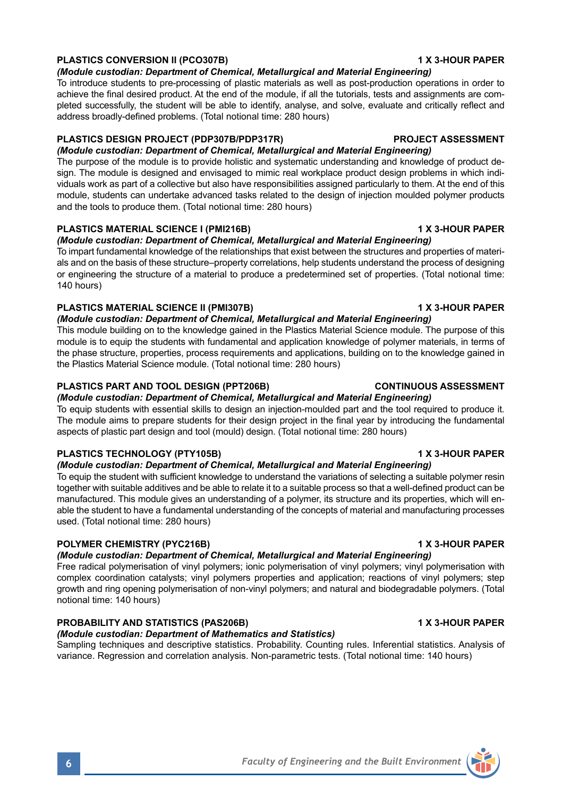# **PLASTICS CONVERSION II (PCO307B)** 1 X 3-HOUR PAPER

*(Module custodian: Department of Chemical, Metallurgical and Material Engineering)*

To introduce students to pre-processing of plastic materials as well as post-production operations in order to achieve the final desired product. At the end of the module, if all the tutorials, tests and assignments are completed successfully, the student will be able to identify, analyse, and solve, evaluate and critically reflect and address broadly-defined problems. (Total notional time: 280 hours)

# **PLASTICS DESIGN PROJECT (PDP307B/PDP317R) PROJECT ASSESSMENT**

*(Module custodian: Department of Chemical, Metallurgical and Material Engineering)*

The purpose of the module is to provide holistic and systematic understanding and knowledge of product design. The module is designed and envisaged to mimic real workplace product design problems in which individuals work as part of a collective but also have responsibilities assigned particularly to them. At the end of this module, students can undertake advanced tasks related to the design of injection moulded polymer products and the tools to produce them. (Total notional time: 280 hours)

# **PLASTICS MATERIAL SCIENCE I (PMI216B) 1 X 3-HOUR PAPER**

*(Module custodian: Department of Chemical, Metallurgical and Material Engineering)*

To impart fundamental knowledge of the relationships that exist between the structures and properties of materials and on the basis of these structure–property correlations, help students understand the process of designing or engineering the structure of a material to produce a predetermined set of properties. (Total notional time: 140 hours)

# **PLASTICS MATERIAL SCIENCE II (PMI307B)** 1 X 3-HOUR PAPER

*(Module custodian: Department of Chemical, Metallurgical and Material Engineering)*

This module building on to the knowledge gained in the Plastics Material Science module. The purpose of this module is to equip the students with fundamental and application knowledge of polymer materials, in terms of the phase structure, properties, process requirements and applications, building on to the knowledge gained in the Plastics Material Science module. (Total notional time: 280 hours)

## **PLASTICS PART AND TOOL DESIGN (PPT206B) CONTINUOUS ASSESSMENT**

*(Module custodian: Department of Chemical, Metallurgical and Material Engineering)*

To equip students with essential skills to design an injection-moulded part and the tool required to produce it. The module aims to prepare students for their design project in the final year by introducing the fundamental aspects of plastic part design and tool (mould) design. (Total notional time: 280 hours)

## **PLASTICS TECHNOLOGY (PTY105B) 1 X 3-HOUR PAPER**

## *(Module custodian: Department of Chemical, Metallurgical and Material Engineering)*

To equip the student with sufficient knowledge to understand the variations of selecting a suitable polymer resin together with suitable additives and be able to relate it to a suitable process so that a well-defined product can be manufactured. This module gives an understanding of a polymer, its structure and its properties, which will enable the student to have a fundamental understanding of the concepts of material and manufacturing processes used. (Total notional time: 280 hours)

# **POLYMER CHEMISTRY (PYC216B) 1 X 3-HOUR PAPER**

# *(Module custodian: Department of Chemical, Metallurgical and Material Engineering)*

Free radical polymerisation of vinyl polymers; ionic polymerisation of vinyl polymers; vinyl polymerisation with complex coordination catalysts; vinyl polymers properties and application; reactions of vinyl polymers; step growth and ring opening polymerisation of non-vinyl polymers; and natural and biodegradable polymers. (Total notional time: 140 hours)

# **PROBABILITY AND STATISTICS (PAS206B)** 1 X 3-HOUR PAPER

## *(Module custodian: Department of Mathematics and Statistics)*

Sampling techniques and descriptive statistics. Probability. Counting rules. Inferential statistics. Analysis of variance. Regression and correlation analysis. Non-parametric tests. (Total notional time: 140 hours)